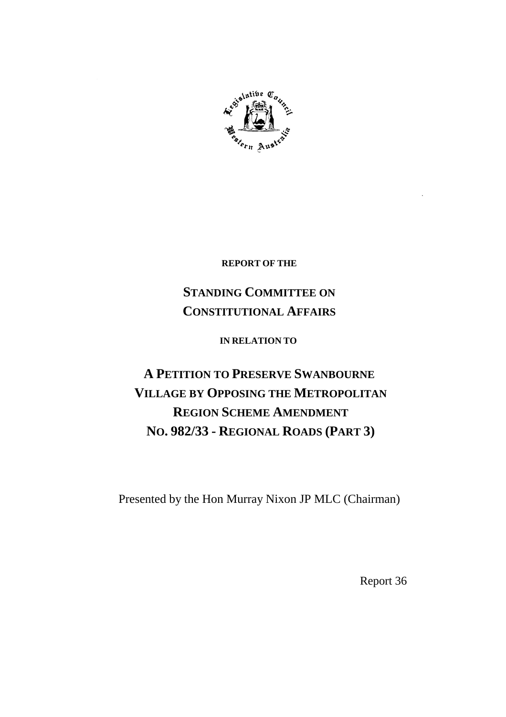

**REPORT OF THE**

# **STANDING COMMITTEE ON CONSTITUTIONAL AFFAIRS**

**IN RELATION TO**

# **A PETITION TO PRESERVE SWANBOURNE VILLAGE BY OPPOSING THE METROPOLITAN REGION SCHEME AMENDMENT NO. 982/33 - REGIONAL ROADS (PART 3)**

Presented by the Hon Murray Nixon JP MLC (Chairman)

Report 36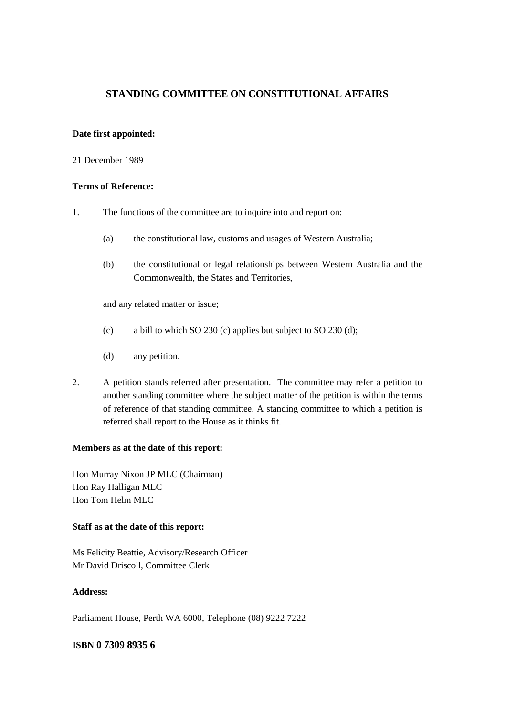# **STANDING COMMITTEE ON CONSTITUTIONAL AFFAIRS**

### **Date first appointed:**

#### 21 December 1989

#### **Terms of Reference:**

- 1. The functions of the committee are to inquire into and report on:
	- (a) the constitutional law, customs and usages of Western Australia;
	- (b) the constitutional or legal relationships between Western Australia and the Commonwealth, the States and Territories,

and any related matter or issue;

- (c) a bill to which SO 230 (c) applies but subject to SO 230 (d);
- (d) any petition.
- 2. A petition stands referred after presentation. The committee may refer a petition to another standing committee where the subject matter of the petition is within the terms of reference of that standing committee. A standing committee to which a petition is referred shall report to the House as it thinks fit.

#### **Members as at the date of this report:**

Hon Murray Nixon JP MLC (Chairman) Hon Ray Halligan MLC Hon Tom Helm MLC

### **Staff as at the date of this report:**

Ms Felicity Beattie, Advisory/Research Officer Mr David Driscoll, Committee Clerk

# **Address:**

Parliament House, Perth WA 6000, Telephone (08) 9222 7222

## **ISBN 0 7309 8935 6**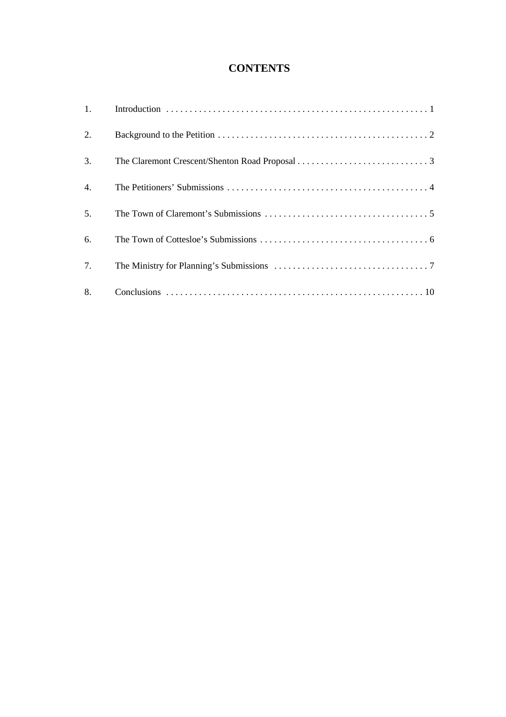# **CONTENTS**

| 2.               |  |
|------------------|--|
| 3.               |  |
| $\overline{4}$ . |  |
| 5.               |  |
| 6.               |  |
| 7.               |  |
| 8.               |  |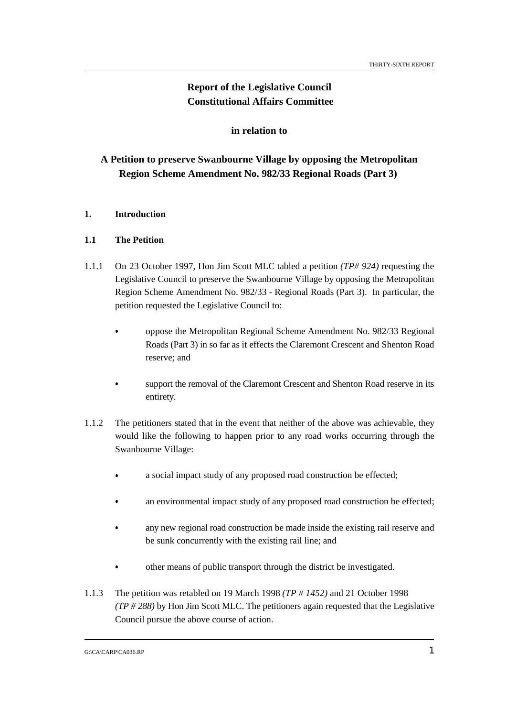# **Report of the Legislative Council Constitutional Affairs Committee**

# **in relation to**

# **A Petition to preserve Swanbourne Village by opposing the Metropolitan Region Scheme Amendment No. 982/33 Regional Roads (Part 3)**

# **1. Introduction**

## **1.1 The Petition**

- 1.1.1 On 23 October 1997, Hon Jim Scott MLC tabled a petition *(TP# 924)* requesting the Legislative Council to preserve the Swanbourne Village by opposing the Metropolitan Region Scheme Amendment No. 982/33 - Regional Roads (Part 3). In particular, the petition requested the Legislative Council to:
	- oppose the Metropolitan Regional Scheme Amendment No. 982/33 Regional Roads (Part 3) in so far as it effects the Claremont Crescent and Shenton Road reserve; and
	- support the removal of the Claremont Crescent and Shenton Road reserve in its entirety.
- 1.1.2 The petitioners stated that in the event that neither of the above was achievable, they would like the following to happen prior to any road works occurring through the Swanbourne Village:
	- a social impact study of any proposed road construction be effected;
	- an environmental impact study of any proposed road construction be effected;
	- any new regional road construction be made inside the existing rail reserve and be sunk concurrently with the existing rail line; and
	- other means of public transport through the district be investigated.
- 1.1.3 The petition was retabled on 19 March 1998 *(TP # 1452)* and 21 October 1998 *(TP # 288)* by Hon Jim Scott MLC. The petitioners again requested that the Legislative Council pursue the above course of action.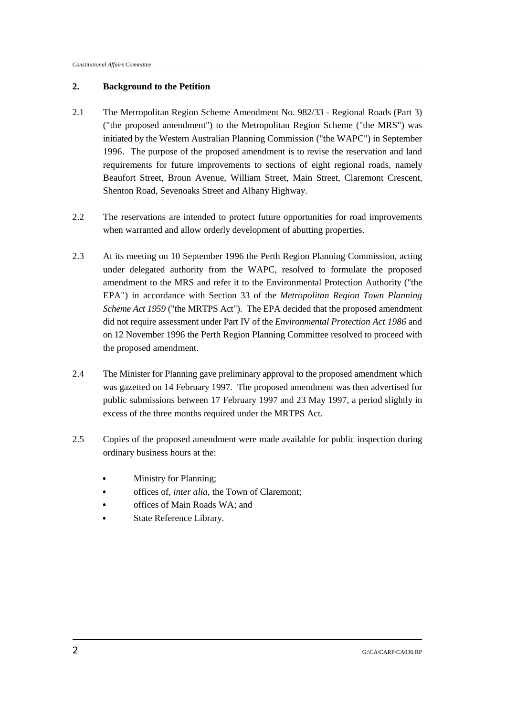### **2. Background to the Petition**

- 2.1 The Metropolitan Region Scheme Amendment No. 982/33 Regional Roads (Part 3) ("the proposed amendment") to the Metropolitan Region Scheme ("the MRS") was initiated by the Western Australian Planning Commission ("the WAPC") in September 1996. The purpose of the proposed amendment is to revise the reservation and land requirements for future improvements to sections of eight regional roads, namely Beaufort Street, Broun Avenue, William Street, Main Street, Claremont Crescent, Shenton Road, Sevenoaks Street and Albany Highway.
- 2.2 The reservations are intended to protect future opportunities for road improvements when warranted and allow orderly development of abutting properties.
- 2.3 At its meeting on 10 September 1996 the Perth Region Planning Commission, acting under delegated authority from the WAPC, resolved to formulate the proposed amendment to the MRS and refer it to the Environmental Protection Authority ("the EPA") in accordance with Section 33 of the *Metropolitan Region Town Planning Scheme Act 1959* ("the MRTPS Act"). The EPA decided that the proposed amendment did not require assessment under Part IV of the *Environmental Protection Act 1986* and on 12 November 1996 the Perth Region Planning Committee resolved to proceed with the proposed amendment.
- 2.4 The Minister for Planning gave preliminary approval to the proposed amendment which was gazetted on 14 February 1997. The proposed amendment was then advertised for public submissions between 17 February 1997 and 23 May 1997, a period slightly in excess of the three months required under the MRTPS Act.
- 2.5 Copies of the proposed amendment were made available for public inspection during ordinary business hours at the:
	- Ministry for Planning; &
	- offices of, *inter alia*, the Town of Claremont; &
	- offices of Main Roads WA; and &
	- State Reference Library.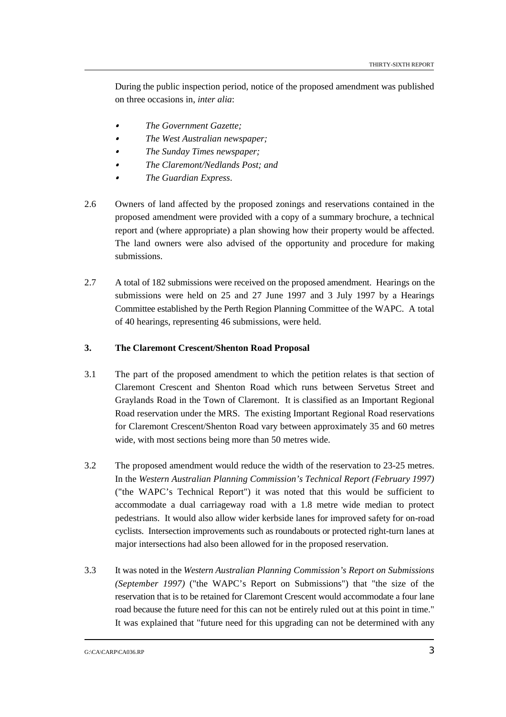During the public inspection period, notice of the proposed amendment was published on three occasions in, *inter alia*:

- *The Government Gazette;* &
- *The West Australian newspaper;* &
- *The Sunday Times newspaper;* &
- *The Claremont/Nedlands Post; and* &
- *The Guardian Express*.
- 2.6 Owners of land affected by the proposed zonings and reservations contained in the proposed amendment were provided with a copy of a summary brochure, a technical report and (where appropriate) a plan showing how their property would be affected. The land owners were also advised of the opportunity and procedure for making submissions.
- 2.7 A total of 182 submissions were received on the proposed amendment. Hearings on the submissions were held on 25 and 27 June 1997 and 3 July 1997 by a Hearings Committee established by the Perth Region Planning Committee of the WAPC. A total of 40 hearings, representing 46 submissions, were held.

# **3. The Claremont Crescent/Shenton Road Proposal**

- 3.1 The part of the proposed amendment to which the petition relates is that section of Claremont Crescent and Shenton Road which runs between Servetus Street and Graylands Road in the Town of Claremont. It is classified as an Important Regional Road reservation under the MRS. The existing Important Regional Road reservations for Claremont Crescent/Shenton Road vary between approximately 35 and 60 metres wide, with most sections being more than 50 metres wide.
- 3.2 The proposed amendment would reduce the width of the reservation to 23-25 metres. In the *Western Australian Planning Commission's Technical Report (February 1997)* ("the WAPC's Technical Report") it was noted that this would be sufficient to accommodate a dual carriageway road with a 1.8 metre wide median to protect pedestrians. It would also allow wider kerbside lanes for improved safety for on-road cyclists. Intersection improvements such as roundabouts or protected right-turn lanes at major intersections had also been allowed for in the proposed reservation.
- 3.3 It was noted in the *Western Australian Planning Commission's Report on Submissions (September 1997)* ("the WAPC's Report on Submissions") that "the size of the reservation that is to be retained for Claremont Crescent would accommodate a four lane road because the future need for this can not be entirely ruled out at this point in time." It was explained that "future need for this upgrading can not be determined with any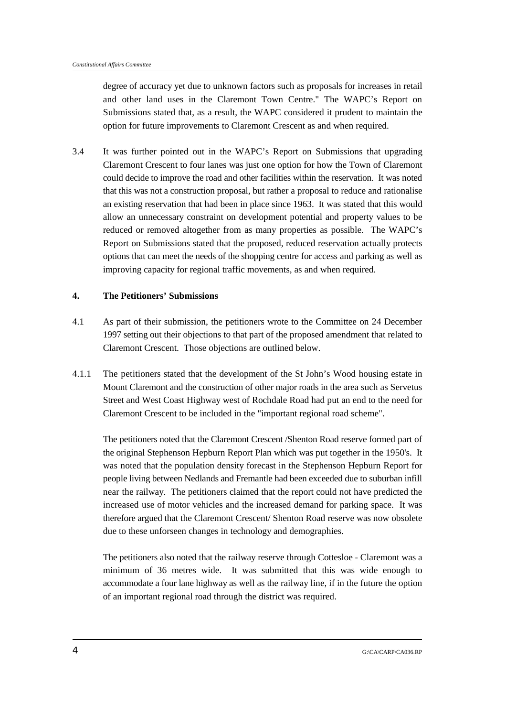degree of accuracy yet due to unknown factors such as proposals for increases in retail and other land uses in the Claremont Town Centre." The WAPC's Report on Submissions stated that, as a result, the WAPC considered it prudent to maintain the option for future improvements to Claremont Crescent as and when required.

3.4 It was further pointed out in the WAPC's Report on Submissions that upgrading Claremont Crescent to four lanes was just one option for how the Town of Claremont could decide to improve the road and other facilities within the reservation. It was noted that this was not a construction proposal, but rather a proposal to reduce and rationalise an existing reservation that had been in place since 1963. It was stated that this would allow an unnecessary constraint on development potential and property values to be reduced or removed altogether from as many properties as possible. The WAPC's Report on Submissions stated that the proposed, reduced reservation actually protects options that can meet the needs of the shopping centre for access and parking as well as improving capacity for regional traffic movements, as and when required.

### **4. The Petitioners' Submissions**

- 4.1 As part of their submission, the petitioners wrote to the Committee on 24 December 1997 setting out their objections to that part of the proposed amendment that related to Claremont Crescent. Those objections are outlined below.
- 4.1.1 The petitioners stated that the development of the St John's Wood housing estate in Mount Claremont and the construction of other major roads in the area such as Servetus Street and West Coast Highway west of Rochdale Road had put an end to the need for Claremont Crescent to be included in the "important regional road scheme".

The petitioners noted that the Claremont Crescent /Shenton Road reserve formed part of the original Stephenson Hepburn Report Plan which was put together in the 1950's. It was noted that the population density forecast in the Stephenson Hepburn Report for people living between Nedlands and Fremantle had been exceeded due to suburban infill near the railway. The petitioners claimed that the report could not have predicted the increased use of motor vehicles and the increased demand for parking space. It was therefore argued that the Claremont Crescent/ Shenton Road reserve was now obsolete due to these unforseen changes in technology and demographies.

The petitioners also noted that the railway reserve through Cottesloe - Claremont was a minimum of 36 metres wide. It was submitted that this was wide enough to accommodate a four lane highway as well as the railway line, if in the future the option of an important regional road through the district was required.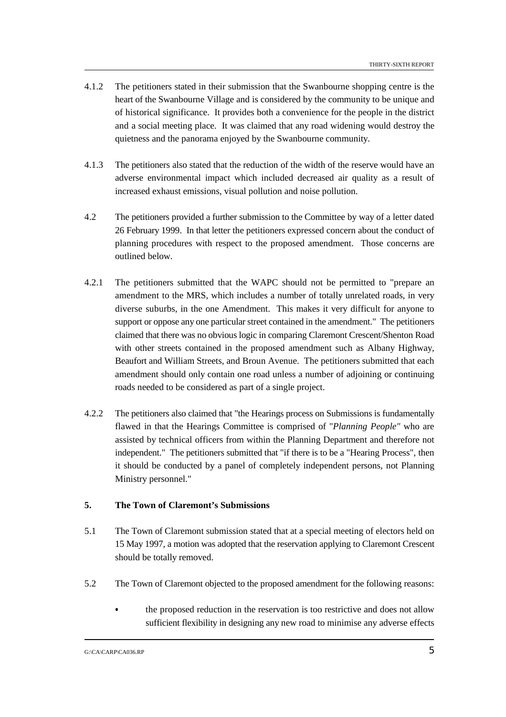- 4.1.2 The petitioners stated in their submission that the Swanbourne shopping centre is the heart of the Swanbourne Village and is considered by the community to be unique and of historical significance. It provides both a convenience for the people in the district and a social meeting place. It was claimed that any road widening would destroy the quietness and the panorama enjoyed by the Swanbourne community.
- 4.1.3 The petitioners also stated that the reduction of the width of the reserve would have an adverse environmental impact which included decreased air quality as a result of increased exhaust emissions, visual pollution and noise pollution.
- 4.2 The petitioners provided a further submission to the Committee by way of a letter dated 26 February 1999. In that letter the petitioners expressed concern about the conduct of planning procedures with respect to the proposed amendment. Those concerns are outlined below.
- 4.2.1 The petitioners submitted that the WAPC should not be permitted to "prepare an amendment to the MRS, which includes a number of totally unrelated roads, in very diverse suburbs, in the one Amendment. This makes it very difficult for anyone to support or oppose any one particular street contained in the amendment." The petitioners claimed that there was no obvious logic in comparing Claremont Crescent/Shenton Road with other streets contained in the proposed amendment such as Albany Highway, Beaufort and William Streets, and Broun Avenue. The petitioners submitted that each amendment should only contain one road unless a number of adjoining or continuing roads needed to be considered as part of a single project.
- 4.2.2 The petitioners also claimed that "the Hearings process on Submissions is fundamentally flawed in that the Hearings Committee is comprised of "*Planning People"* who are assisted by technical officers from within the Planning Department and therefore not independent." The petitioners submitted that "if there is to be a "Hearing Process", then it should be conducted by a panel of completely independent persons, not Planning Ministry personnel."

# **5. The Town of Claremont's Submissions**

- 5.1 The Town of Claremont submission stated that at a special meeting of electors held on 15 May 1997, a motion was adopted that the reservation applying to Claremont Crescent should be totally removed.
- 5.2 The Town of Claremont objected to the proposed amendment for the following reasons:
	- the proposed reduction in the reservation is too restrictive and does not allow sufficient flexibility in designing any new road to minimise any adverse effects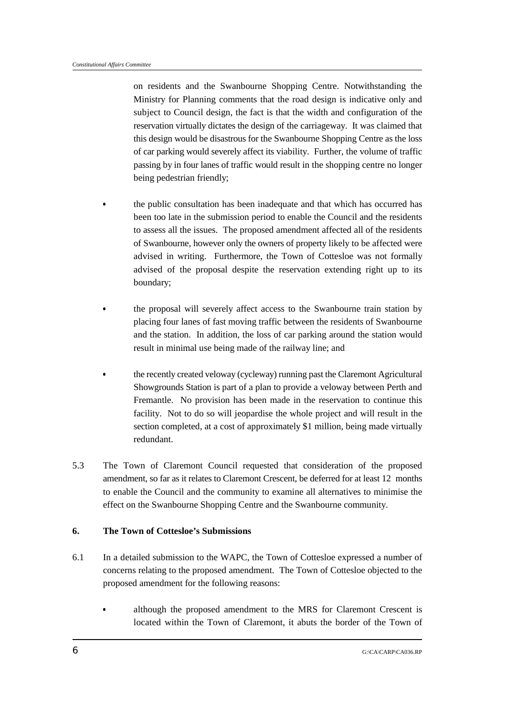on residents and the Swanbourne Shopping Centre. Notwithstanding the Ministry for Planning comments that the road design is indicative only and subject to Council design, the fact is that the width and configuration of the reservation virtually dictates the design of the carriageway. It was claimed that this design would be disastrous for the Swanbourne Shopping Centre as the loss of car parking would severely affect its viability. Further, the volume of traffic passing by in four lanes of traffic would result in the shopping centre no longer being pedestrian friendly;

- the public consultation has been inadequate and that which has occurred has been too late in the submission period to enable the Council and the residents to assess all the issues. The proposed amendment affected all of the residents of Swanbourne, however only the owners of property likely to be affected were advised in writing. Furthermore, the Town of Cottesloe was not formally advised of the proposal despite the reservation extending right up to its boundary;
- the proposal will severely affect access to the Swanbourne train station by placing four lanes of fast moving traffic between the residents of Swanbourne and the station. In addition, the loss of car parking around the station would result in minimal use being made of the railway line; and
- the recently created veloway (cycleway) running past the Claremont Agricultural Showgrounds Station is part of a plan to provide a veloway between Perth and Fremantle. No provision has been made in the reservation to continue this facility. Not to do so will jeopardise the whole project and will result in the section completed, at a cost of approximately \$1 million, being made virtually redundant.
- 5.3 The Town of Claremont Council requested that consideration of the proposed amendment, so far as it relates to Claremont Crescent, be deferred for at least 12 months to enable the Council and the community to examine all alternatives to minimise the effect on the Swanbourne Shopping Centre and the Swanbourne community.

### **6. The Town of Cottesloe's Submissions**

- 6.1 In a detailed submission to the WAPC, the Town of Cottesloe expressed a number of concerns relating to the proposed amendment. The Town of Cottesloe objected to the proposed amendment for the following reasons:
	- although the proposed amendment to the MRS for Claremont Crescent is located within the Town of Claremont, it abuts the border of the Town of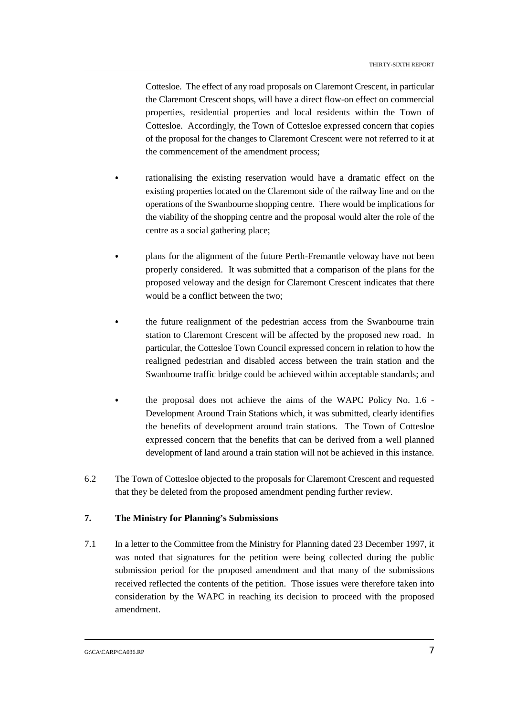Cottesloe. The effect of any road proposals on Claremont Crescent, in particular the Claremont Crescent shops, will have a direct flow-on effect on commercial properties, residential properties and local residents within the Town of Cottesloe. Accordingly, the Town of Cottesloe expressed concern that copies of the proposal for the changes to Claremont Crescent were not referred to it at the commencement of the amendment process;

- rationalising the existing reservation would have a dramatic effect on the existing properties located on the Claremont side of the railway line and on the operations of the Swanbourne shopping centre. There would be implications for the viability of the shopping centre and the proposal would alter the role of the centre as a social gathering place;
- plans for the alignment of the future Perth-Fremantle veloway have not been properly considered. It was submitted that a comparison of the plans for the proposed veloway and the design for Claremont Crescent indicates that there would be a conflict between the two;
- the future realignment of the pedestrian access from the Swanbourne train station to Claremont Crescent will be affected by the proposed new road. In particular, the Cottesloe Town Council expressed concern in relation to how the realigned pedestrian and disabled access between the train station and the Swanbourne traffic bridge could be achieved within acceptable standards; and
- the proposal does not achieve the aims of the WAPC Policy No. 1.6 Development Around Train Stations which, it was submitted, clearly identifies the benefits of development around train stations. The Town of Cottesloe expressed concern that the benefits that can be derived from a well planned development of land around a train station will not be achieved in this instance.
- 6.2 The Town of Cottesloe objected to the proposals for Claremont Crescent and requested that they be deleted from the proposed amendment pending further review.

# **7. The Ministry for Planning's Submissions**

7.1 In a letter to the Committee from the Ministry for Planning dated 23 December 1997, it was noted that signatures for the petition were being collected during the public submission period for the proposed amendment and that many of the submissions received reflected the contents of the petition. Those issues were therefore taken into consideration by the WAPC in reaching its decision to proceed with the proposed amendment.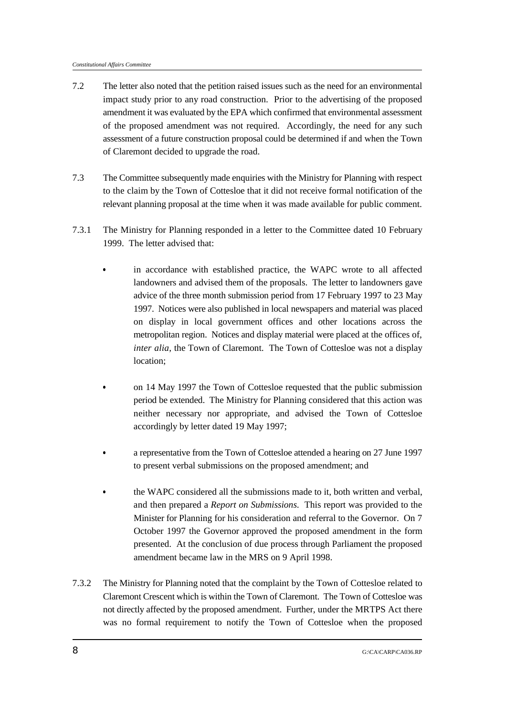- 7.2 The letter also noted that the petition raised issues such as the need for an environmental impact study prior to any road construction. Prior to the advertising of the proposed amendment it was evaluated by the EPA which confirmed that environmental assessment of the proposed amendment was not required. Accordingly, the need for any such assessment of a future construction proposal could be determined if and when the Town of Claremont decided to upgrade the road.
- 7.3 The Committee subsequently made enquiries with the Ministry for Planning with respect to the claim by the Town of Cottesloe that it did not receive formal notification of the relevant planning proposal at the time when it was made available for public comment.
- 7.3.1 The Ministry for Planning responded in a letter to the Committee dated 10 February 1999. The letter advised that:
	- in accordance with established practice, the WAPC wrote to all affected landowners and advised them of the proposals. The letter to landowners gave advice of the three month submission period from 17 February 1997 to 23 May 1997. Notices were also published in local newspapers and material was placed on display in local government offices and other locations across the metropolitan region. Notices and display material were placed at the offices of, *inter alia*, the Town of Claremont. The Town of Cottesloe was not a display location;
	- on 14 May 1997 the Town of Cottesloe requested that the public submission period be extended. The Ministry for Planning considered that this action was neither necessary nor appropriate, and advised the Town of Cottesloe accordingly by letter dated 19 May 1997;
	- a representative from the Town of Cottesloe attended a hearing on 27 June 1997 to present verbal submissions on the proposed amendment; and
	- the WAPC considered all the submissions made to it, both written and verbal, and then prepared a *Report on Submissions*. This report was provided to the Minister for Planning for his consideration and referral to the Governor. On 7 October 1997 the Governor approved the proposed amendment in the form presented. At the conclusion of due process through Parliament the proposed amendment became law in the MRS on 9 April 1998.
- 7.3.2 The Ministry for Planning noted that the complaint by the Town of Cottesloe related to Claremont Crescent which is within the Town of Claremont. The Town of Cottesloe was not directly affected by the proposed amendment. Further, under the MRTPS Act there was no formal requirement to notify the Town of Cottesloe when the proposed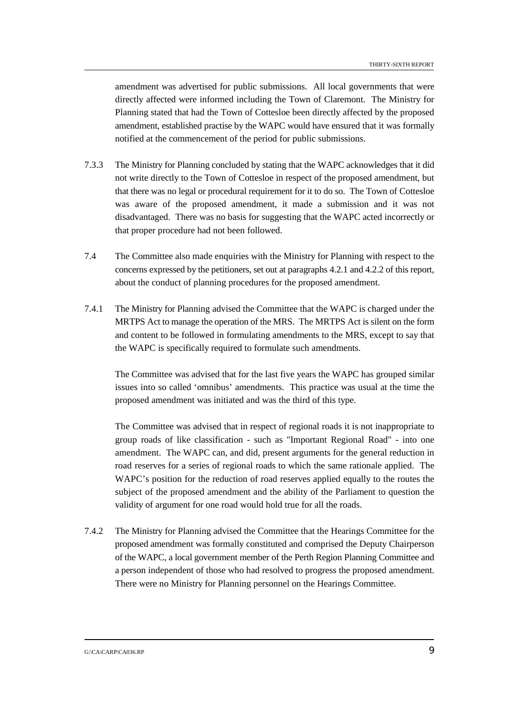amendment was advertised for public submissions. All local governments that were directly affected were informed including the Town of Claremont. The Ministry for Planning stated that had the Town of Cottesloe been directly affected by the proposed amendment, established practise by the WAPC would have ensured that it was formally notified at the commencement of the period for public submissions.

- 7.3.3 The Ministry for Planning concluded by stating that the WAPC acknowledges that it did not write directly to the Town of Cottesloe in respect of the proposed amendment, but that there was no legal or procedural requirement for it to do so. The Town of Cottesloe was aware of the proposed amendment, it made a submission and it was not disadvantaged. There was no basis for suggesting that the WAPC acted incorrectly or that proper procedure had not been followed.
- 7.4 The Committee also made enquiries with the Ministry for Planning with respect to the concerns expressed by the petitioners, set out at paragraphs 4.2.1 and 4.2.2 of this report, about the conduct of planning procedures for the proposed amendment.
- 7.4.1 The Ministry for Planning advised the Committee that the WAPC is charged under the MRTPS Act to manage the operation of the MRS. The MRTPS Act is silent on the form and content to be followed in formulating amendments to the MRS, except to say that the WAPC is specifically required to formulate such amendments.

The Committee was advised that for the last five years the WAPC has grouped similar issues into so called 'omnibus' amendments. This practice was usual at the time the proposed amendment was initiated and was the third of this type.

The Committee was advised that in respect of regional roads it is not inappropriate to group roads of like classification - such as "Important Regional Road" - into one amendment. The WAPC can, and did, present arguments for the general reduction in road reserves for a series of regional roads to which the same rationale applied. The WAPC's position for the reduction of road reserves applied equally to the routes the subject of the proposed amendment and the ability of the Parliament to question the validity of argument for one road would hold true for all the roads.

7.4.2 The Ministry for Planning advised the Committee that the Hearings Committee for the proposed amendment was formally constituted and comprised the Deputy Chairperson of the WAPC, a local government member of the Perth Region Planning Committee and a person independent of those who had resolved to progress the proposed amendment. There were no Ministry for Planning personnel on the Hearings Committee.